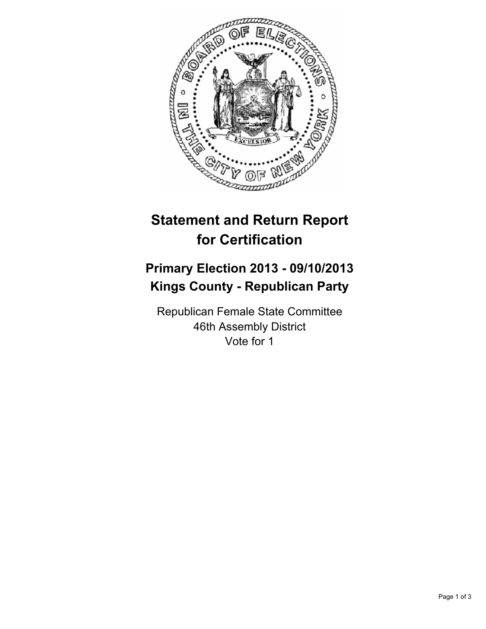

## **Statement and Return Report for Certification**

## **Primary Election 2013 - 09/10/2013 Kings County - Republican Party**

Republican Female State Committee 46th Assembly District Vote for 1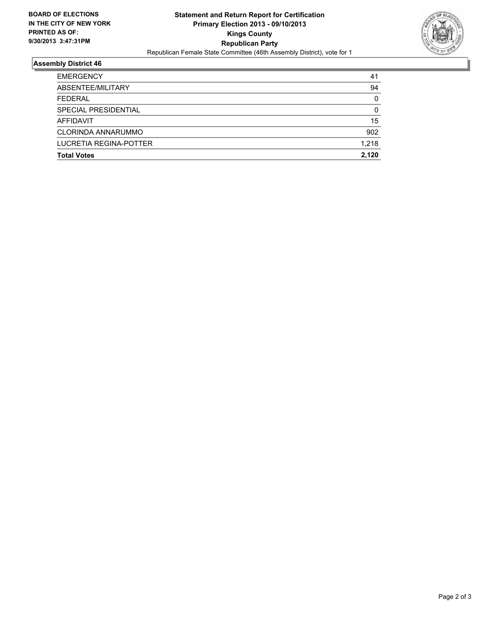

## **Assembly District 46**

| 41       |
|----------|
| 94       |
| $\Omega$ |
| $\Omega$ |
| 15       |
| 902      |
| 1.218    |
| 2.120    |
|          |